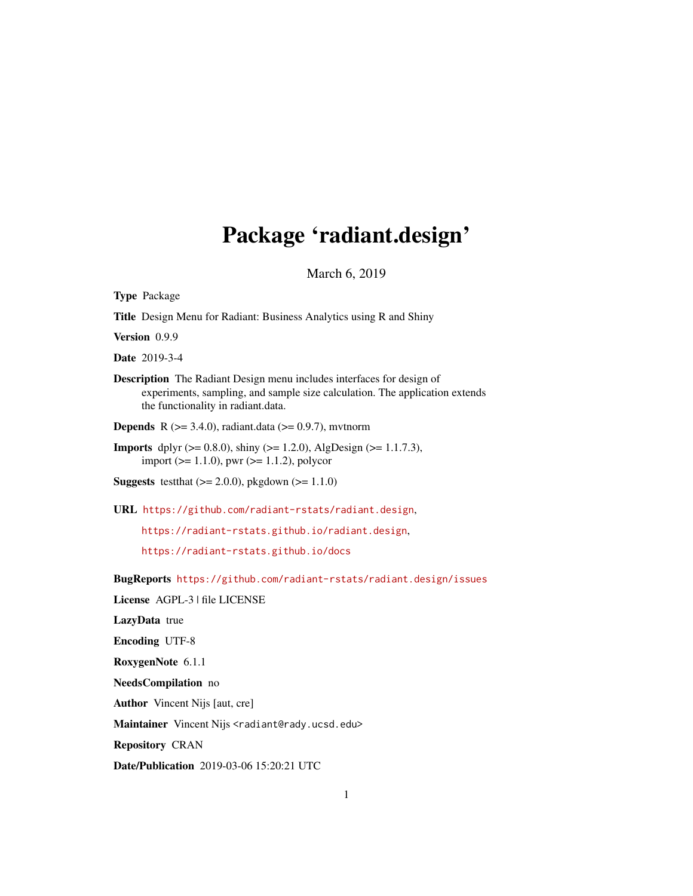# Package 'radiant.design'

March 6, 2019

| <b>Type Package</b>                                                                                                                                                                               |
|---------------------------------------------------------------------------------------------------------------------------------------------------------------------------------------------------|
| Title Design Menu for Radiant: Business Analytics using R and Shiny                                                                                                                               |
| Version 0.9.9                                                                                                                                                                                     |
| <b>Date</b> 2019-3-4                                                                                                                                                                              |
| <b>Description</b> The Radiant Design menu includes interfaces for design of<br>experiments, sampling, and sample size calculation. The application extends<br>the functionality in radiant.data. |
| <b>Depends</b> R ( $> = 3.4.0$ ), radiant.data ( $> = 0.9.7$ ), mytnorm                                                                                                                           |
| <b>Imports</b> dplyr ( $> = 0.8.0$ ), shiny ( $> = 1.2.0$ ), AlgDesign ( $> = 1.1.7.3$ ),<br>import ( $>= 1.1.0$ ), pwr ( $>= 1.1.2$ ), polycor                                                   |
| Suggests test that $(>= 2.0.0)$ , pkgdown $(>= 1.1.0)$                                                                                                                                            |
| URL https://github.com/radiant-rstats/radiant.design,                                                                                                                                             |
| https://radiant-rstats.github.io/radiant.design,                                                                                                                                                  |
| https://radiant-rstats.github.io/docs                                                                                                                                                             |
| BugReports https://github.com/radiant-rstats/radiant.design/issues                                                                                                                                |
| License AGPL-3   file LICENSE                                                                                                                                                                     |
| LazyData true                                                                                                                                                                                     |
| <b>Encoding UTF-8</b>                                                                                                                                                                             |
| RoxygenNote 6.1.1                                                                                                                                                                                 |
| NeedsCompilation no                                                                                                                                                                               |
| <b>Author</b> Vincent Nijs [aut, cre]                                                                                                                                                             |
| Maintainer Vincent Nijs <radiant@rady.ucsd.edu></radiant@rady.ucsd.edu>                                                                                                                           |
| <b>Repository CRAN</b>                                                                                                                                                                            |
| Date/Publication 2019-03-06 15:20:21 UTC                                                                                                                                                          |
|                                                                                                                                                                                                   |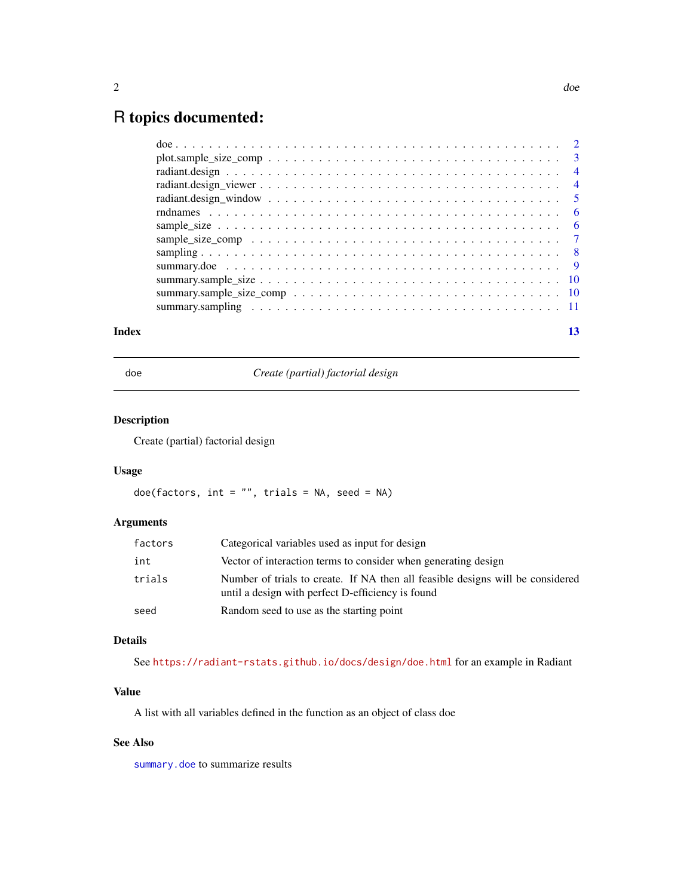## <span id="page-1-0"></span>R topics documented:

| Index |  |
|-------|--|

<span id="page-1-1"></span>doe *Create (partial) factorial design*

#### Description

Create (partial) factorial design

#### Usage

doe(factors, int = "", trials = NA, seed = NA)

#### Arguments

| factors | Categorical variables used as input for design                                                                                      |
|---------|-------------------------------------------------------------------------------------------------------------------------------------|
| int     | Vector of interaction terms to consider when generating design                                                                      |
| trials  | Number of trials to create. If NA then all feasible designs will be considered<br>until a design with perfect D-efficiency is found |
| seed    | Random seed to use as the starting point                                                                                            |

#### Details

See <https://radiant-rstats.github.io/docs/design/doe.html> for an example in Radiant

#### Value

A list with all variables defined in the function as an object of class doe

#### See Also

[summary.doe](#page-8-1) to summarize results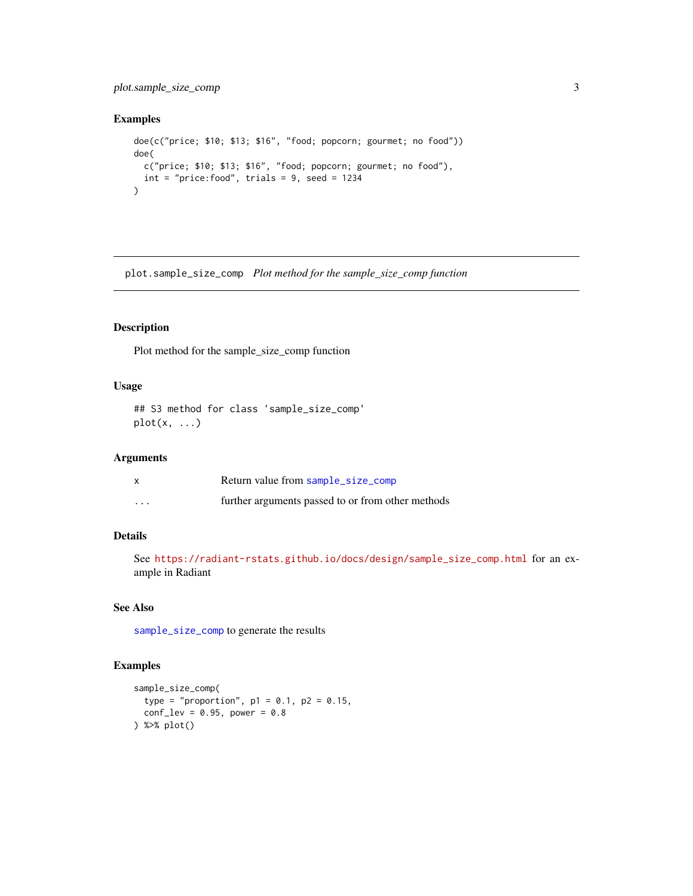#### <span id="page-2-0"></span>plot.sample\_size\_comp 3

#### Examples

```
doe(c("price; $10; $13; $16", "food; popcorn; gourmet; no food"))
doe(
  c("price; $10; $13; $16", "food; popcorn; gourmet; no food"),
  int = "price:food", trials = 9, seed = 1234)
```
plot.sample\_size\_comp *Plot method for the sample\_size\_comp function*

#### Description

Plot method for the sample\_size\_comp function

#### Usage

```
## S3 method for class 'sample_size_comp'
plot(x, ...)
```
#### Arguments

|          | Return value from sample_size_comp                |
|----------|---------------------------------------------------|
| $\cdots$ | further arguments passed to or from other methods |

### Details

See [https://radiant-rstats.github.io/docs/design/sample\\_size\\_comp.html](https://radiant-rstats.github.io/docs/design/sample_size_comp.html) for an example in Radiant

#### See Also

[sample\\_size\\_comp](#page-6-1) to generate the results

#### Examples

```
sample_size_comp(
  type = "proportion", p1 = 0.1, p2 = 0.15,
  conf\_lev = 0.95, power = 0.8
) %>% plot()
```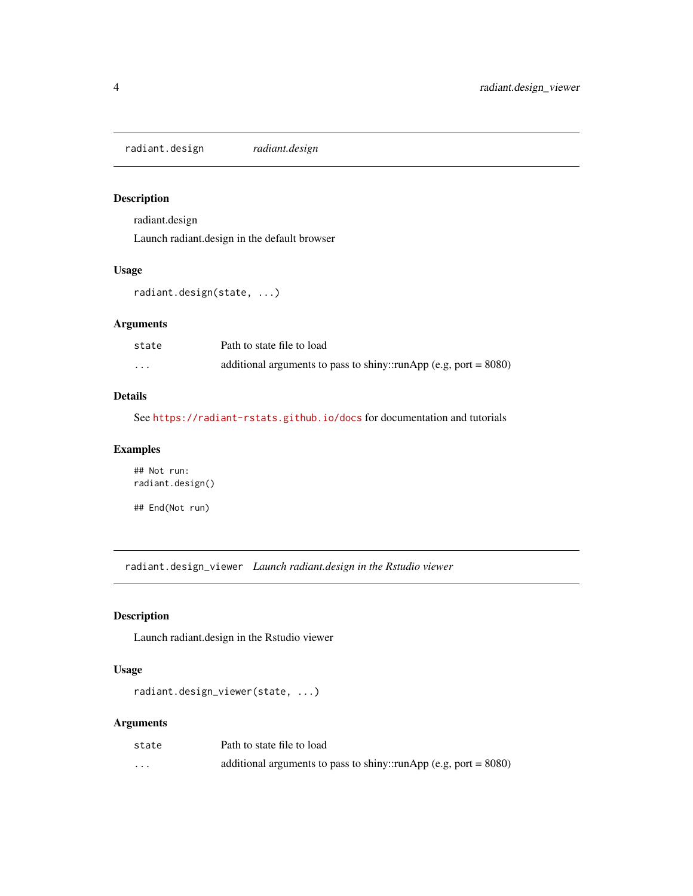<span id="page-3-0"></span>radiant.design *radiant.design*

#### Description

radiant.design

Launch radiant.design in the default browser

#### Usage

radiant.design(state, ...)

#### Arguments

| state    | Path to state file to load                                          |
|----------|---------------------------------------------------------------------|
| $\cdots$ | additional arguments to pass to shiny::runApp (e.g, port = $8080$ ) |

#### Details

See <https://radiant-rstats.github.io/docs> for documentation and tutorials

#### Examples

## Not run: radiant.design()

## End(Not run)

radiant.design\_viewer *Launch radiant.design in the Rstudio viewer*

#### Description

Launch radiant.design in the Rstudio viewer

#### Usage

```
radiant.design_viewer(state, ...)
```
#### Arguments

| state   | Path to state file to load                                          |
|---------|---------------------------------------------------------------------|
| $\cdot$ | additional arguments to pass to shiny::runApp (e.g, port = $8080$ ) |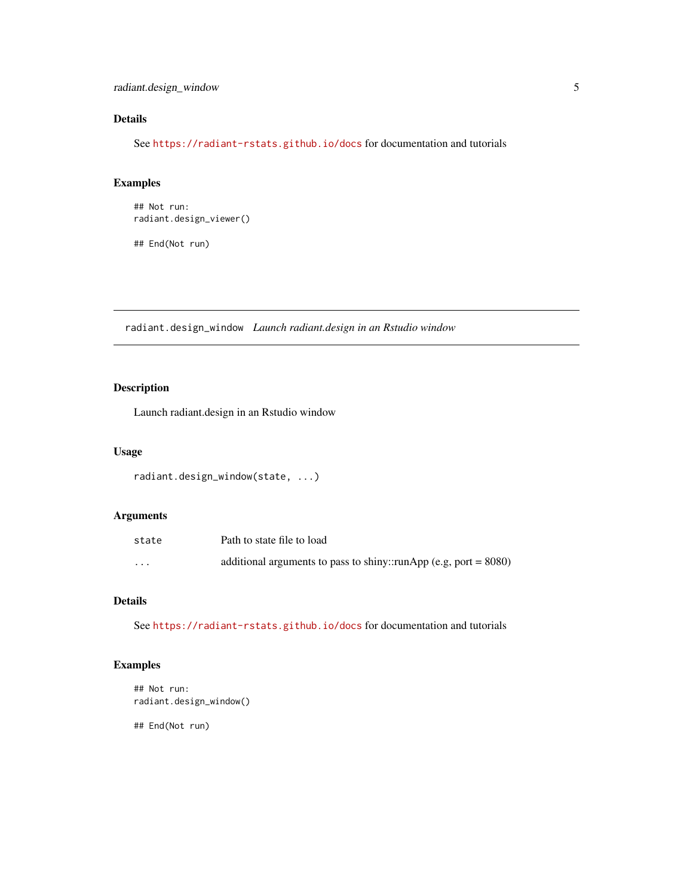#### <span id="page-4-0"></span>Details

See <https://radiant-rstats.github.io/docs> for documentation and tutorials

#### Examples

```
## Not run:
radiant.design_viewer()
## End(Not run)
```
radiant.design\_window *Launch radiant.design in an Rstudio window*

#### Description

Launch radiant.design in an Rstudio window

#### Usage

```
radiant.design_window(state, ...)
```
#### Arguments

| state    | Path to state file to load                                          |
|----------|---------------------------------------------------------------------|
| $\cdots$ | additional arguments to pass to shiny::runApp (e.g, port = $8080$ ) |

#### Details

See <https://radiant-rstats.github.io/docs> for documentation and tutorials

#### Examples

```
## Not run:
radiant.design_window()
```
## End(Not run)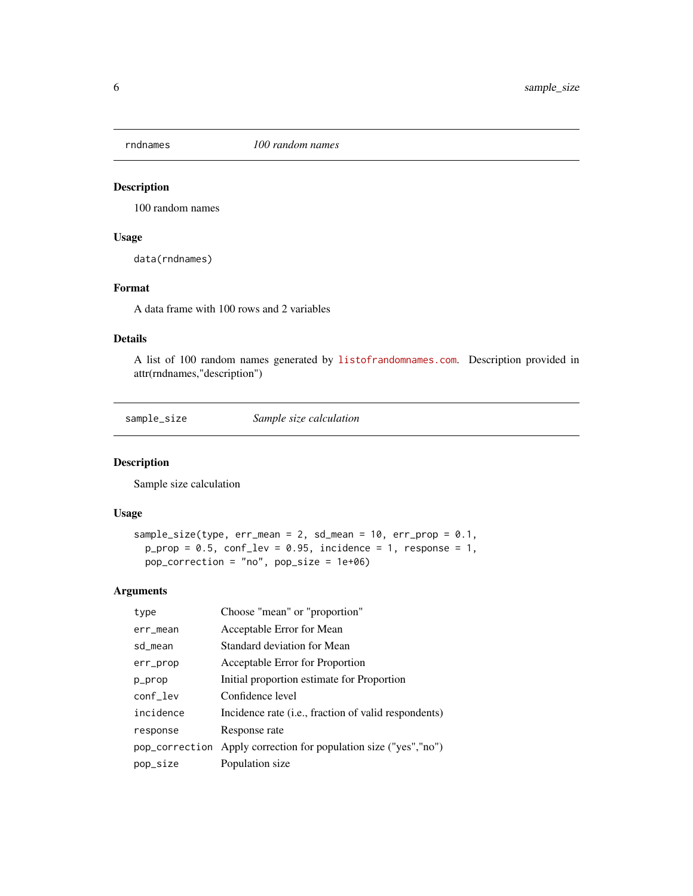<span id="page-5-0"></span>

#### Description

100 random names

#### Usage

data(rndnames)

#### Format

A data frame with 100 rows and 2 variables

#### Details

A list of 100 random names generated by <listofrandomnames.com>. Description provided in attr(rndnames,"description")

<span id="page-5-1"></span>sample\_size *Sample size calculation*

#### Description

Sample size calculation

#### Usage

```
sample_size(type, err_mean = 2, sd_mean = 10, err_prop = 0.1,
 p\_prop = 0.5, conf\_lev = 0.95, incidence = 1, response = 1,
 pop_correction = "no", pop_size = 1e+06)
```
#### Arguments

| type           | Choose "mean" or "proportion"                        |
|----------------|------------------------------------------------------|
| err_mean       | Acceptable Error for Mean                            |
| sd mean        | Standard deviation for Mean                          |
| err_prop       | Acceptable Error for Proportion                      |
| p_prop         | Initial proportion estimate for Proportion           |
| conf_lev       | Confidence level                                     |
| incidence      | Incidence rate (i.e., fraction of valid respondents) |
| response       | Response rate                                        |
| pop_correction | Apply correction for population size ("yes","no")    |
| pop_size       | Population size                                      |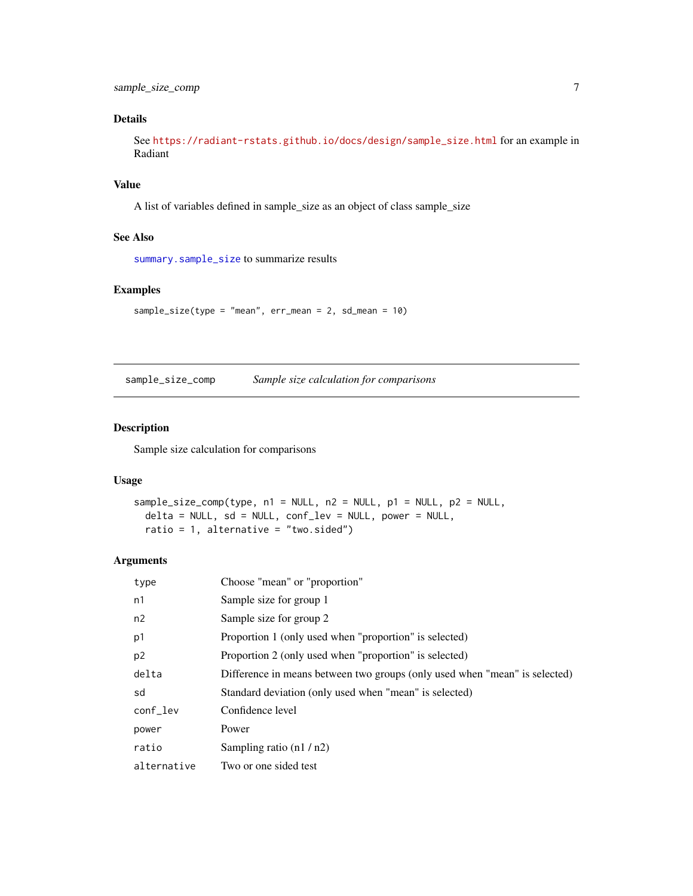<span id="page-6-0"></span>sample\_size\_comp 7

#### Details

See [https://radiant-rstats.github.io/docs/design/sample\\_size.html](https://radiant-rstats.github.io/docs/design/sample_size.html) for an example in Radiant

#### Value

A list of variables defined in sample\_size as an object of class sample\_size

#### See Also

[summary.sample\\_size](#page-9-1) to summarize results

#### Examples

sample\_size(type = "mean", err\_mean = 2, sd\_mean = 10)

<span id="page-6-1"></span>sample\_size\_comp *Sample size calculation for comparisons*

#### Description

Sample size calculation for comparisons

#### Usage

```
sample_size_comp(type, n1 = NULL, n2 = NULL, p1 = NULL, p2 = NULL,
 delta = NULL, sd = NULL, conf_lev = NULL, power = NULL,
 ratio = 1, alternative = "two.sided")
```
#### Arguments

| type           | Choose "mean" or "proportion"                                              |
|----------------|----------------------------------------------------------------------------|
| n1             | Sample size for group 1                                                    |
| n2             | Sample size for group 2                                                    |
| p1             | Proportion 1 (only used when "proportion" is selected)                     |
| p <sub>2</sub> | Proportion 2 (only used when "proportion" is selected)                     |
| delta          | Difference in means between two groups (only used when "mean" is selected) |
| sd             | Standard deviation (only used when "mean" is selected)                     |
| conf_lev       | Confidence level                                                           |
| power          | Power                                                                      |
| ratio          | Sampling ratio $(n1/n2)$                                                   |
| alternative    | Two or one sided test                                                      |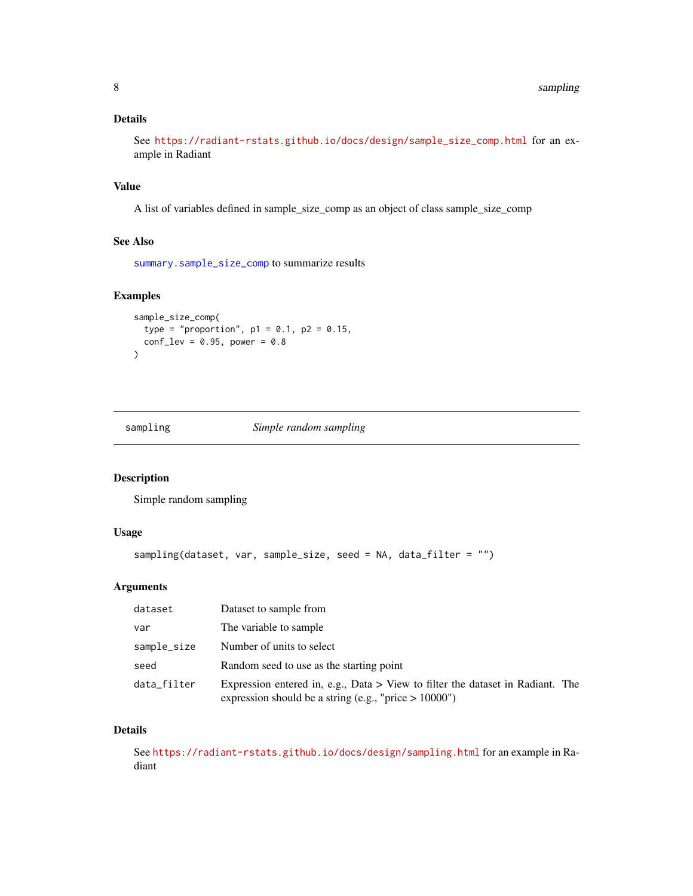#### <span id="page-7-0"></span>Details

See [https://radiant-rstats.github.io/docs/design/sample\\_size\\_comp.html](https://radiant-rstats.github.io/docs/design/sample_size_comp.html) for an example in Radiant

#### Value

A list of variables defined in sample\_size\_comp as an object of class sample\_size\_comp

#### See Also

[summary.sample\\_size\\_comp](#page-9-2) to summarize results

#### Examples

```
sample_size_comp(
  type = "proportion", p1 = 0.1, p2 = 0.15,
  conf\_lev = 0.95, power = 0.8
\mathcal{L}
```
<span id="page-7-1"></span>sampling *Simple random sampling*

#### Description

Simple random sampling

#### Usage

```
sampling(dataset, var, sample_size, seed = NA, data_filter = "")
```
#### Arguments

| dataset     | Dataset to sample from                                                                                                                     |
|-------------|--------------------------------------------------------------------------------------------------------------------------------------------|
| var         | The variable to sample                                                                                                                     |
| sample_size | Number of units to select                                                                                                                  |
| seed        | Random seed to use as the starting point                                                                                                   |
| data_filter | Expression entered in, e.g., Data > View to filter the dataset in Radiant. The<br>expression should be a string (e.g., "price $> 10000$ ") |

#### Details

See <https://radiant-rstats.github.io/docs/design/sampling.html> for an example in Radiant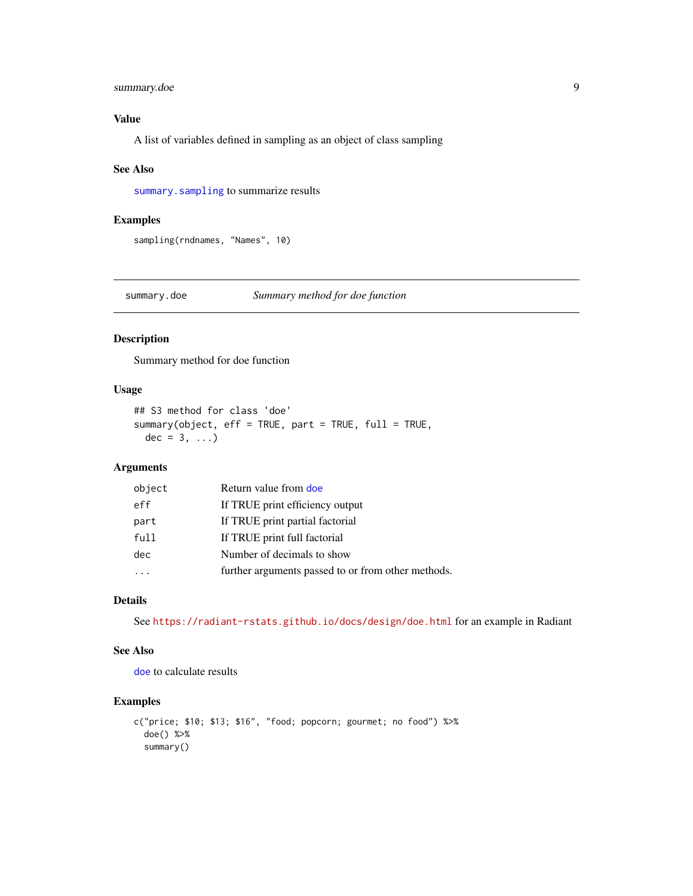#### <span id="page-8-0"></span>summary.doe 9

#### Value

A list of variables defined in sampling as an object of class sampling

#### See Also

[summary.sampling](#page-10-1) to summarize results

#### Examples

sampling(rndnames, "Names", 10)

<span id="page-8-1"></span>summary.doe *Summary method for doe function*

#### Description

Summary method for doe function

#### Usage

```
## S3 method for class 'doe'
summary(object, eff = TRUE, part = TRUE, full = TRUE,
 dec = 3, \ldots)
```
#### Arguments

| object | Return value from doe                              |
|--------|----------------------------------------------------|
| eff    | If TRUE print efficiency output                    |
| part   | If TRUE print partial factorial                    |
| full   | If TRUE print full factorial                       |
| dec    | Number of decimals to show                         |
|        | further arguments passed to or from other methods. |

#### Details

See <https://radiant-rstats.github.io/docs/design/doe.html> for an example in Radiant

#### See Also

[doe](#page-1-1) to calculate results

#### Examples

```
c("price; $10; $13; $16", "food; popcorn; gourmet; no food") %>%
  doe() %>%
  summary()
```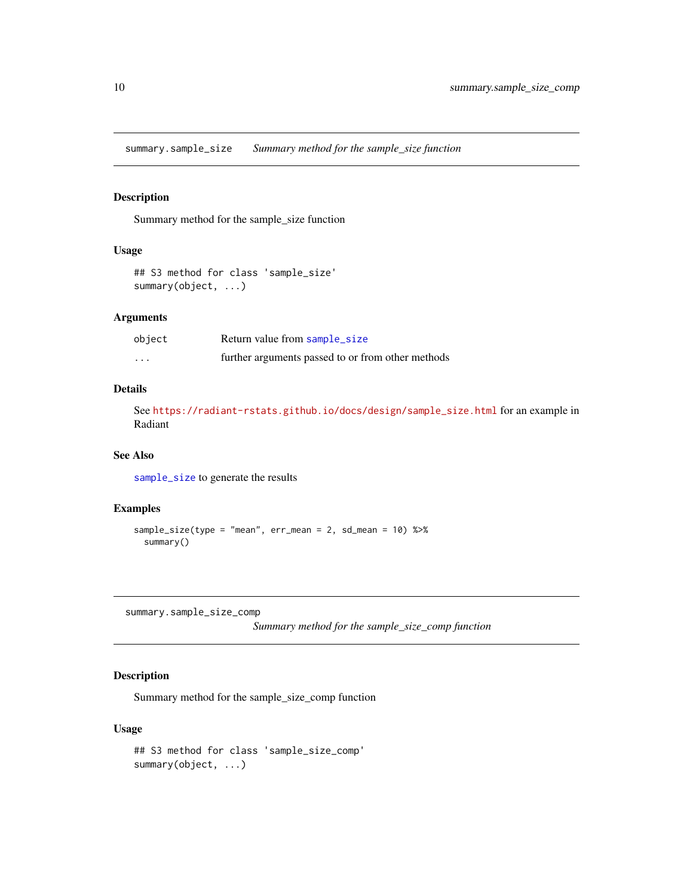<span id="page-9-1"></span><span id="page-9-0"></span>summary.sample\_size *Summary method for the sample\_size function*

#### Description

Summary method for the sample\_size function

#### Usage

```
## S3 method for class 'sample_size'
summary(object, ...)
```
#### Arguments

| object   | Return value from sample_size                     |
|----------|---------------------------------------------------|
| $\cdots$ | further arguments passed to or from other methods |

#### Details

See [https://radiant-rstats.github.io/docs/design/sample\\_size.html](https://radiant-rstats.github.io/docs/design/sample_size.html) for an example in Radiant

#### See Also

[sample\\_size](#page-5-1) to generate the results

#### Examples

```
sample_size(type = "mean", err_mean = 2, sd_mean = 10) %>%
 summary()
```
<span id="page-9-2"></span>summary.sample\_size\_comp

```
Summary method for the sample_size_comp function
```
#### Description

Summary method for the sample\_size\_comp function

#### Usage

```
## S3 method for class 'sample_size_comp'
summary(object, ...)
```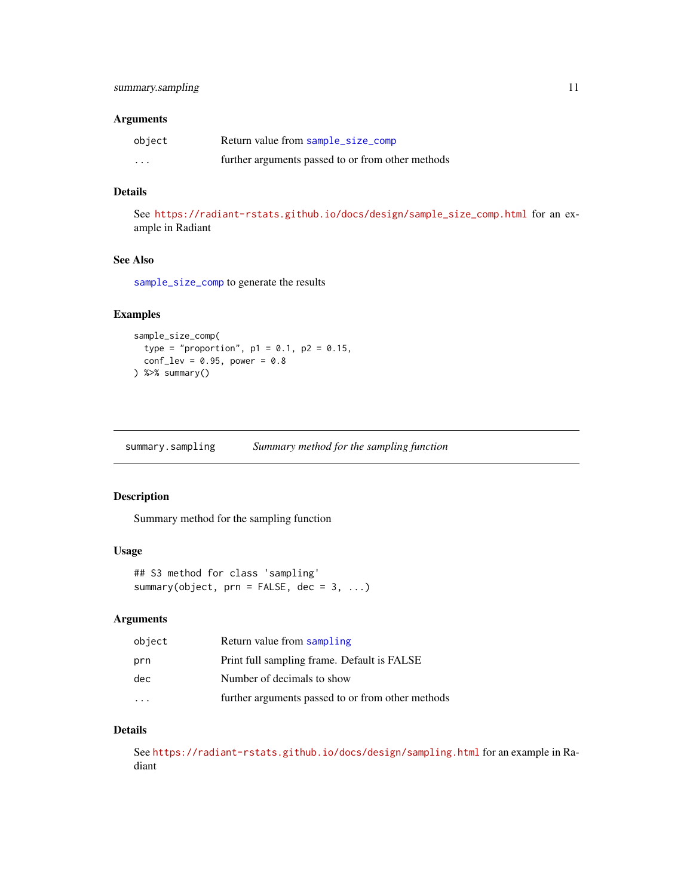#### <span id="page-10-0"></span>Arguments

| object   | Return value from sample_size_comp                |
|----------|---------------------------------------------------|
| $\cdots$ | further arguments passed to or from other methods |

#### Details

See [https://radiant-rstats.github.io/docs/design/sample\\_size\\_comp.html](https://radiant-rstats.github.io/docs/design/sample_size_comp.html) for an example in Radiant

#### See Also

[sample\\_size\\_comp](#page-6-1) to generate the results

#### Examples

```
sample_size_comp(
 type = "proportion", p1 = 0.1, p2 = 0.15,
  conf\_lev = 0.95, power = 0.8
) %>% summary()
```
<span id="page-10-1"></span>summary.sampling *Summary method for the sampling function*

#### Description

Summary method for the sampling function

#### Usage

```
## S3 method for class 'sampling'
summary(object, prn = FALSE, dec = 3, ...)
```
#### Arguments

| object | Return value from sampling                        |
|--------|---------------------------------------------------|
| prn    | Print full sampling frame. Default is FALSE       |
| dec    | Number of decimals to show                        |
|        | further arguments passed to or from other methods |

#### Details

See <https://radiant-rstats.github.io/docs/design/sampling.html> for an example in Radiant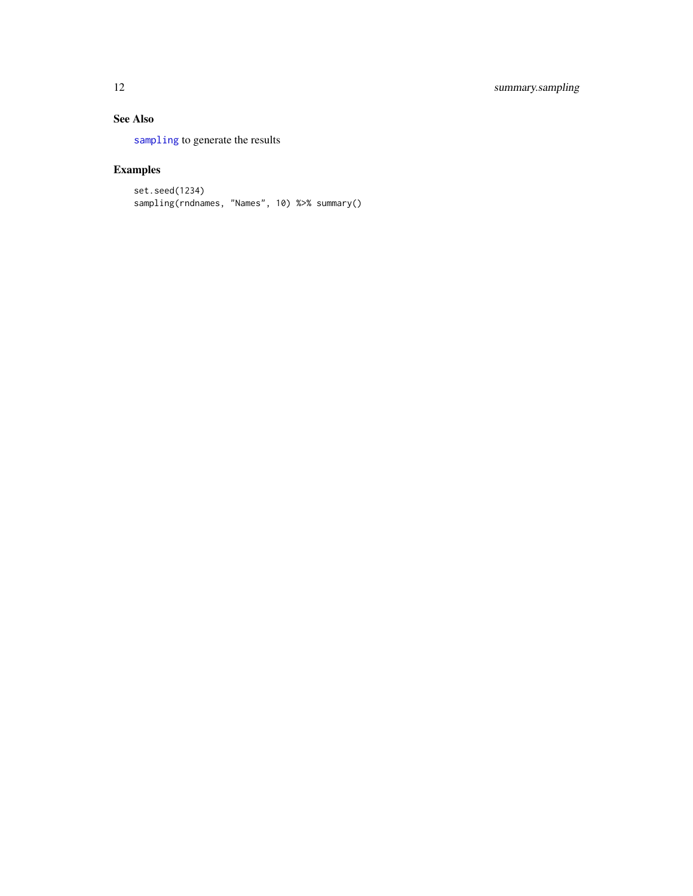#### See Also

[sampling](#page-7-1) to generate the results

### Examples

```
set.seed(1234)
sampling(rndnames, "Names", 10) %>% summary()
```
<span id="page-11-0"></span>